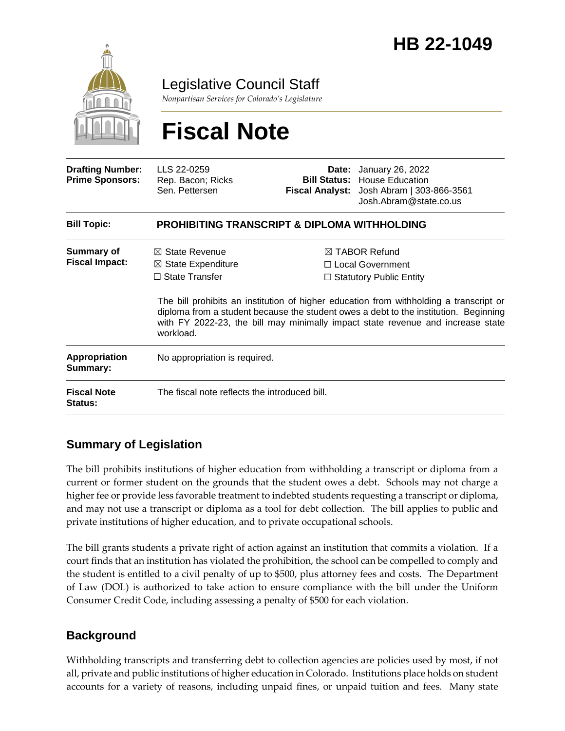

Legislative Council Staff

*Nonpartisan Services for Colorado's Legislature*

# **Fiscal Note**

| <b>Drafting Number:</b><br><b>Prime Sponsors:</b> | LLS 22-0259<br>Rep. Bacon; Ricks<br>Sen. Pettersen                                               |  | <b>Date:</b> January 26, 2022<br><b>Bill Status: House Education</b><br>Fiscal Analyst: Josh Abram   303-866-3561<br>Josh.Abram@state.co.us                                                                                                                                                                                                           |  |
|---------------------------------------------------|--------------------------------------------------------------------------------------------------|--|-------------------------------------------------------------------------------------------------------------------------------------------------------------------------------------------------------------------------------------------------------------------------------------------------------------------------------------------------------|--|
| <b>Bill Topic:</b>                                | <b>PROHIBITING TRANSCRIPT &amp; DIPLOMA WITHHOLDING</b>                                          |  |                                                                                                                                                                                                                                                                                                                                                       |  |
| <b>Summary of</b><br><b>Fiscal Impact:</b>        | $\boxtimes$ State Revenue<br>$\boxtimes$ State Expenditure<br>$\Box$ State Transfer<br>workload. |  | $\boxtimes$ TABOR Refund<br>□ Local Government<br>$\Box$ Statutory Public Entity<br>The bill prohibits an institution of higher education from withholding a transcript or<br>diploma from a student because the student owes a debt to the institution. Beginning<br>with FY 2022-23, the bill may minimally impact state revenue and increase state |  |
| Appropriation<br>Summary:                         | No appropriation is required.                                                                    |  |                                                                                                                                                                                                                                                                                                                                                       |  |
| <b>Fiscal Note</b><br>Status:                     | The fiscal note reflects the introduced bill.                                                    |  |                                                                                                                                                                                                                                                                                                                                                       |  |

## **Summary of Legislation**

The bill prohibits institutions of higher education from withholding a transcript or diploma from a current or former student on the grounds that the student owes a debt. Schools may not charge a higher fee or provide less favorable treatment to indebted students requesting a transcript or diploma, and may not use a transcript or diploma as a tool for debt collection. The bill applies to public and private institutions of higher education, and to private occupational schools.

The bill grants students a private right of action against an institution that commits a violation. If a court finds that an institution has violated the prohibition, the school can be compelled to comply and the student is entitled to a civil penalty of up to \$500, plus attorney fees and costs. The Department of Law (DOL) is authorized to take action to ensure compliance with the bill under the Uniform Consumer Credit Code, including assessing a penalty of \$500 for each violation.

## **Background**

Withholding transcripts and transferring debt to collection agencies are policies used by most, if not all, private and public institutions of higher education in Colorado. Institutions place holds on student accounts for a variety of reasons, including unpaid fines, or unpaid tuition and fees. Many state